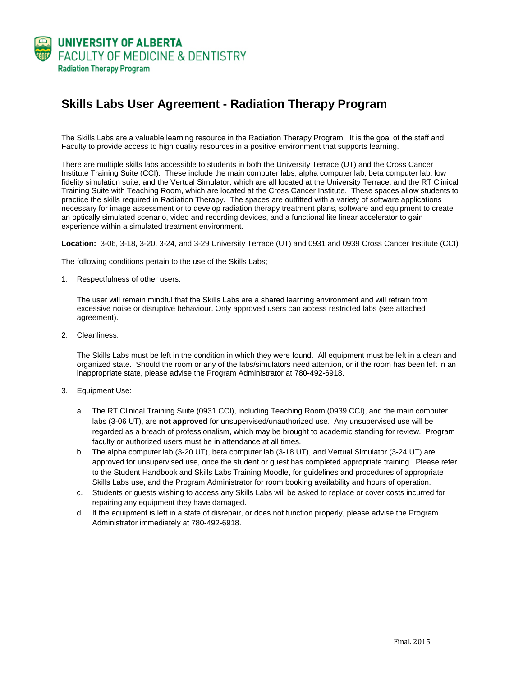

## **Skills Labs User Agreement - Radiation Therapy Program**

The Skills Labs are a valuable learning resource in the Radiation Therapy Program. It is the goal of the staff and Faculty to provide access to high quality resources in a positive environment that supports learning.

There are multiple skills labs accessible to students in both the University Terrace (UT) and the Cross Cancer Institute Training Suite (CCI). These include the main computer labs, alpha computer lab, beta computer lab, low fidelity simulation suite, and the Vertual Simulator, which are all located at the University Terrace; and the RT Clinical Training Suite with Teaching Room, which are located at the Cross Cancer Institute. These spaces allow students to practice the skills required in Radiation Therapy. The spaces are outfitted with a variety of software applications necessary for image assessment or to develop radiation therapy treatment plans, software and equipment to create an optically simulated scenario, video and recording devices, and a functional lite linear accelerator to gain experience within a simulated treatment environment.

**Location:** 3-06, 3-18, 3-20, 3-24, and 3-29 University Terrace (UT) and 0931 and 0939 Cross Cancer Institute (CCI)

The following conditions pertain to the use of the Skills Labs;

1. Respectfulness of other users:

The user will remain mindful that the Skills Labs are a shared learning environment and will refrain from excessive noise or disruptive behaviour. Only approved users can access restricted labs (see attached agreement).

2. Cleanliness:

The Skills Labs must be left in the condition in which they were found. All equipment must be left in a clean and organized state. Should the room or any of the labs/simulators need attention, or if the room has been left in an inappropriate state, please advise the Program Administrator at 780-492-6918.

- 3. Equipment Use:
	- a. The RT Clinical Training Suite (0931 CCI), including Teaching Room (0939 CCI), and the main computer labs (3-06 UT), are **not approved** for unsupervised/unauthorized use. Any unsupervised use will be regarded as a breach of professionalism, which may be brought to academic standing for review. Program faculty or authorized users must be in attendance at all times.
	- b. The alpha computer lab (3-20 UT), beta computer lab (3-18 UT), and Vertual Simulator (3-24 UT) are approved for unsupervised use, once the student or guest has completed appropriate training. Please refer to the Student Handbook and Skills Labs Training Moodle, for guidelines and procedures of appropriate Skills Labs use, and the Program Administrator for room booking availability and hours of operation.
	- c. Students or guests wishing to access any Skills Labs will be asked to replace or cover costs incurred for repairing any equipment they have damaged.
	- d. If the equipment is left in a state of disrepair, or does not function properly, please advise the Program Administrator immediately at 780-492-6918.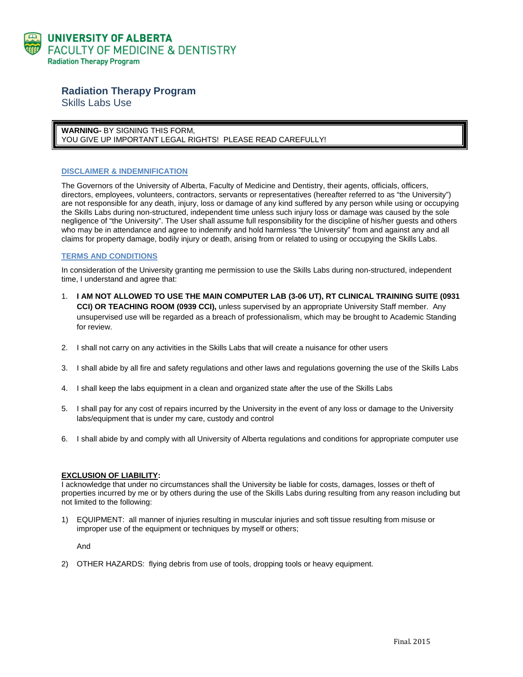

# **Radiation Therapy Program**

Skills Labs Use

**WARNING-** BY SIGNING THIS FORM, YOU GIVE UP IMPORTANT LEGAL RIGHTS! PLEASE READ CAREFULLY!

#### **DISCLAIMER & INDEMNIFICATION**

The Governors of the University of Alberta, Faculty of Medicine and Dentistry, their agents, officials, officers, directors, employees, volunteers, contractors, servants or representatives (hereafter referred to as "the University") are not responsible for any death, injury, loss or damage of any kind suffered by any person while using or occupying the Skills Labs during non-structured, independent time unless such injury loss or damage was caused by the sole negligence of "the University". The User shall assume full responsibility for the discipline of his/her guests and others who may be in attendance and agree to indemnify and hold harmless "the University" from and against any and all claims for property damage, bodily injury or death, arising from or related to using or occupying the Skills Labs.

#### **TERMS AND CONDITIONS**

In consideration of the University granting me permission to use the Skills Labs during non-structured, independent time, I understand and agree that:

- 1. **I AM NOT ALLOWED TO USE THE MAIN COMPUTER LAB (3-06 UT), RT CLINICAL TRAINING SUITE (0931 CCI) OR TEACHING ROOM (0939 CCI),** unless supervised by an appropriate University Staff member. Any unsupervised use will be regarded as a breach of professionalism, which may be brought to Academic Standing for review.
- 2. I shall not carry on any activities in the Skills Labs that will create a nuisance for other users
- 3. I shall abide by all fire and safety regulations and other laws and regulations governing the use of the Skills Labs
- 4. I shall keep the labs equipment in a clean and organized state after the use of the Skills Labs
- 5. I shall pay for any cost of repairs incurred by the University in the event of any loss or damage to the University labs/equipment that is under my care, custody and control
- 6. I shall abide by and comply with all University of Alberta regulations and conditions for appropriate computer use

#### **EXCLUSION OF LIABILITY:**

I acknowledge that under no circumstances shall the University be liable for costs, damages, losses or theft of properties incurred by me or by others during the use of the Skills Labs during resulting from any reason including but not limited to the following:

1) EQUIPMENT: all manner of injuries resulting in muscular injuries and soft tissue resulting from misuse or improper use of the equipment or techniques by myself or others;

And

2) OTHER HAZARDS: flying debris from use of tools, dropping tools or heavy equipment.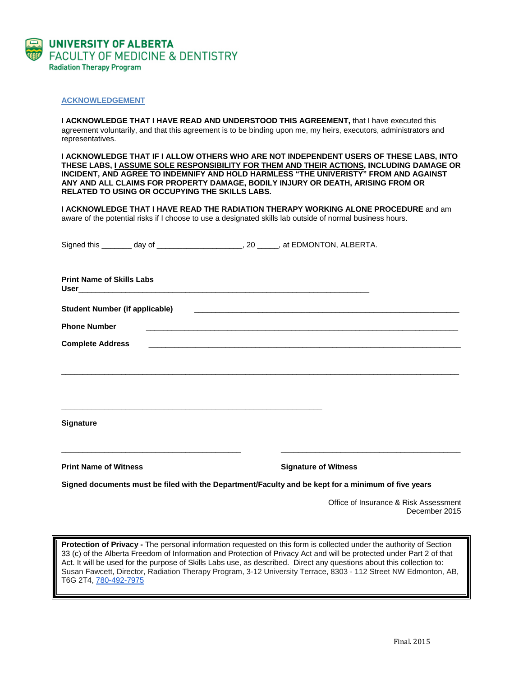

#### **ACKNOWLEDGEMENT**

**I ACKNOWLEDGE THAT I HAVE READ AND UNDERSTOOD THIS AGREEMENT, that I have executed this** agreement voluntarily, and that this agreement is to be binding upon me, my heirs, executors, administrators and representatives.

**I ACKNOWLEDGE THAT IF I ALLOW OTHERS WHO ARE NOT INDEPENDENT USERS OF THESE LABS, INTO THESE LABS, I ASSUME SOLE RESPONSIBILITY FOR THEM AND THEIR ACTIONS, INCLUDING DAMAGE OR INCIDENT, AND AGREE TO INDEMNIFY AND HOLD HARMLESS "THE UNIVERISTY" FROM AND AGAINST ANY AND ALL CLAIMS FOR PROPERTY DAMAGE, BODILY INJURY OR DEATH, ARISING FROM OR RELATED TO USING OR OCCUPYING THE SKILLS LABS.**

**I ACKNOWLEDGE THAT I HAVE READ THE RADIATION THERAPY WORKING ALONE PROCEDURE** and am aware of the potential risks if I choose to use a designated skills lab outside of normal business hours.

|                                  |                                                                          | Signed this _______ day of ______________________, 20 _____, at EDMONTON, ALBERTA.                  |  |
|----------------------------------|--------------------------------------------------------------------------|-----------------------------------------------------------------------------------------------------|--|
| <b>Print Name of Skills Labs</b> |                                                                          |                                                                                                     |  |
|                                  |                                                                          |                                                                                                     |  |
| <b>Phone Number</b>              |                                                                          |                                                                                                     |  |
| <b>Complete Address</b>          |                                                                          |                                                                                                     |  |
|                                  |                                                                          |                                                                                                     |  |
|                                  |                                                                          |                                                                                                     |  |
|                                  | <u> 1989 - Johann Stoff, amerikansk politiker (* 1908)</u>               |                                                                                                     |  |
| <b>Signature</b>                 |                                                                          |                                                                                                     |  |
|                                  | <u> 1989 - Johann John Stein, mars an deus Amerikaansk kommunister (</u> | the contract of the contract of the contract of the contract of the contract of the contract of the |  |
| <b>Print Name of Witness</b>     |                                                                          | <b>Signature of Witness</b>                                                                         |  |
|                                  |                                                                          | Signed documents must be filed with the Denartment/Faculty and be kent for a minimum of five years  |  |

**Signed documents must be filed with the Department/Faculty and be kept for a minimum of five years**

Office of Insurance & Risk Assessment December 2015

**Protection of Privacy -** The personal information requested on this form is collected under the authority of Section 33 (c) of the Alberta Freedom of Information and Protection of Privacy Act and will be protected under Part 2 of that Act. It will be used for the purpose of Skills Labs use, as described. Direct any questions about this collection to: Susan Fawcett, Director, Radiation Therapy Program, 3-12 University Terrace, 8303 - 112 Street NW Edmonton, AB, T6G 2T4, [780-492-7975](tel:780-492-7975)